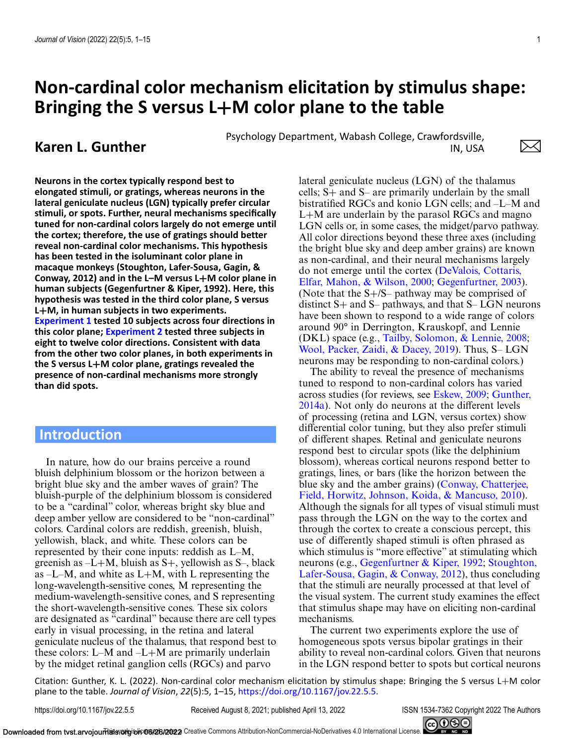# **Non-cardinal color mechanism elicitation by stimulus shape: Bringing the S versus L+M color plane to the table**

**Karen L. Gunther** Psychology Department, Wabash College, Crawfordsville,<br>IN. USA IN, USA

**Neurons in the cortex typically respond best to elongated stimuli, or gratings, whereas neurons in the lateral geniculate nucleus (LGN) typically prefer circular stimuli, or spots. Further, neural mechanisms specifically tuned for non-cardinal colors largely do not emerge until the cortex; therefore, the use of gratings should better reveal non-cardinal color mechanisms. This hypothesis has been tested in the isoluminant color plane in macaque monkeys (Stoughton, Lafer-Sousa, Gagin, & Conway, 2012) and in the L–M versus L+M color plane in human subjects (Gegenfurtner & Kiper, 1992). Here, this hypothesis was tested in the third color plane, S versus L+M, in human subjects in two experiments. [Experiment 1](#page-3-0) tested 10 subjects across four directions in this color plane; [Experiment 2](#page-5-0) tested three subjects in eight to twelve color directions. Consistent with data from the other two color planes, in both experiments in the S versus L+M color plane, gratings revealed the presence of non-cardinal mechanisms more strongly than did spots.**

# **Introduction**

In nature, how do our brains perceive a round bluish delphinium blossom or the horizon between a bright blue sky and the amber waves of grain? The bluish-purple of the delphinium blossom is considered to be a "cardinal" color, whereas bright sky blue and deep amber yellow are considered to be "non-cardinal" colors. Cardinal colors are reddish, greenish, bluish, yellowish, black, and white. These colors can be represented by their cone inputs: reddish as L–M, greenish as  $-L+M$ , bluish as  $S+$ , yellowish as  $S-$ , black as  $-L-M$ , and white as  $L+M$ , with L representing the long-wavelength-sensitive cones, M representing the medium-wavelength-sensitive cones, and S representing the short-wavelength-sensitive cones. These six colors are designated as "cardinal" because there are cell types early in visual processing, in the retina and lateral geniculate nucleus of the thalamus, that respond best to these colors: L–M and –L+M are primarily underlain by the midget retinal ganglion cells (RGCs) and parvo

lateral geniculate nucleus (LGN) of the thalamus cells; S+ and S– are primarily underlain by the small bistratified RGCs and konio LGN cells; and –L–M and  $L+M$  are underlain by the parasol RGCs and magno LGN cells or, in some cases, the midget/parvo pathway. All color directions beyond these three axes (including the bright blue sky and deep amber grains) are known as non-cardinal, and their neural mechanisms largely [do not emerge until the cortex \(DeValois, Cottaris,](#page-9-0) Elfar, Mahon, & Wilson, 2000; [Gegenfurtner, 2003\)](#page-10-0). (Note that the S+/S– pathway may be comprised of distinct  $S+$  and  $S-$  pathways, and that  $S-$  LGN neurons have been shown to respond to a wide range of colors around 90° in Derrington, Krauskopf, and Lennie (DKL) space (e.g., [Tailby, Solomon, & Lennie, 2008;](#page-10-0) [Wool, Packer, Zaidi, & Dacey, 2019\)](#page-11-0). Thus, S– LGN neurons may be responding to non-cardinal colors.)

The ability to reveal the presence of mechanisms tuned to respond to non-cardinal colors has varied across studies (for reviews, see [Eskew, 2009;](#page-9-0) Gunther, [2014a\). Not only do neurons at the different levels](#page-10-0) of processing (retina and LGN, versus cortex) show differential color tuning, but they also prefer stimuli of different shapes. Retinal and geniculate neurons respond best to circular spots (like the delphinium blossom), whereas cortical neurons respond better to gratings, lines, or bars (like the horizon between the [blue sky and the amber grains\) \(Conway, Chatterjee,](#page-9-0) Field, Horwitz, Johnson, Koida, & Mancuso, 2010). Although the signals for all types of visual stimuli must pass through the LGN on the way to the cortex and through the cortex to create a conscious percept, this use of differently shaped stimuli is often phrased as which stimulus is "more effective" at stimulating which neurons (e.g., [Gegenfurtner & Kiper, 1992;](#page-10-0) Stoughton, [Lafer-Sousa, Gagin, & Conway, 2012\), thus concluding](#page-10-0) that the stimuli are neurally processed at that level of the visual system. The current study examines the effect that stimulus shape may have on eliciting non-cardinal mechanisms.

The current two experiments explore the use of homogeneous spots versus bipolar gratings in their ability to reveal non-cardinal colors. Given that neurons in the LGN respond better to spots but cortical neurons

Citation: Gunther, K. L. (2022). Non-cardinal color mechanism elicitation by stimulus shape: Bringing the S versus L+M color plane to the table. *Journal of Vision*, *22*(5):5, 1–15, [https://doi.org/10.1167/jov.22.5.5.](https://doi.org/10.1167/jov.22.5.5)

https://doi.org/10.1167/jov.22.5.5 Received August 8, 2021; published April 13, 2022 ISSN 1534-7362 Copyright 2022 The Authors



 $\times$ l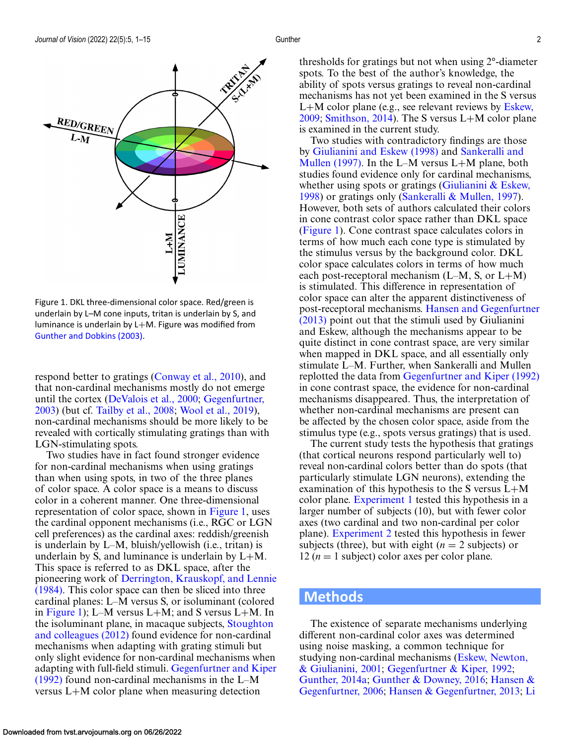<span id="page-1-0"></span>

Figure 1. DKL three-dimensional color space. Red/green is underlain by L–M cone inputs, tritan is underlain by S, and luminance is underlain by L+M. Figure was modified from [Gunther and Dobkins \(2003\).](#page-10-0)

respond better to gratings [\(Conway et al., 2010\)](#page-9-0), and that non-cardinal mechanisms mostly do not emerge [until the cortex \(](#page-10-0)[DeValois et al., 2000](#page-9-0)[;](#page-10-0) Gegenfurtner, 2003) (but cf. [Tailby et al., 2008;](#page-10-0) [Wool et al., 2019\)](#page-11-0), non-cardinal mechanisms should be more likely to be revealed with cortically stimulating gratings than with LGN-stimulating spots.

Two studies have in fact found stronger evidence for non-cardinal mechanisms when using gratings than when using spots, in two of the three planes of color space. A color space is a means to discuss color in a coherent manner. One three-dimensional representation of color space, shown in Figure 1, uses the cardinal opponent mechanisms (i.e., RGC or LGN cell preferences) as the cardinal axes: reddish/greenish is underlain by L–M, bluish/yellowish (i.e., tritan) is underlain by S, and luminance is underlain by  $L+M$ . This space is referred to as DKL space, after the pioneering work of Derrington, Krauskopf, and Lennie [\(1984\). This color space can then be sliced into three](#page-9-0) cardinal planes: L–M versus S, or isoluminant (colored in Figure 1); L–M versus L+M; and S versus L+M. In [the isoluminant plane, in macaque subjects,](#page-10-0) Stoughton and colleagues (2012) found evidence for non-cardinal mechanisms when adapting with grating stimuli but only slight evidence for non-cardinal mechanisms when adapting with full-field stimuli. Gegenfurtner and Kiper (1992) [found non-cardinal mechanisms in the L–M](#page-10-0) versus L+M color plane when measuring detection

thresholds for gratings but not when using 2°-diameter spots. To the best of the author's knowledge, the ability of spots versus gratings to reveal non-cardinal mechanisms has not yet been examined in the S versus L+[M color plane \(e.g., see relevant reviews by](#page-9-0) Eskew, 2009; [Smithson, 2014\)](#page-10-0). The S versus L+M color plane is examined in the current study.

Two studies with contradictory findings are those by [Giulianini and Eskew \(1998\)](#page-10-0) and Sankeralli and [Mullen \(1997\). In the L–M versus L](#page-10-0)+M plane, both studies found evidence only for cardinal mechanisms, whether using spots or gratings (Giulianini  $&$  Eskew, 1998) or gratings only [\(Sankeralli & Mullen, 1997\)](#page-10-0). However, both sets of authors calculated their colors in cone contrast color space rather than DKL space (Figure 1). Cone contrast space calculates colors in terms of how much each cone type is stimulated by the stimulus versus by the background color. DKL color space calculates colors in terms of how much each post-receptoral mechanism  $(L-M, S, \text{or } L+M)$ is stimulated. This difference in representation of color space can alter the apparent distinctiveness of post-receptoral mechanisms. Hansen and Gegenfurtner (2013) [point out that the stimuli used by Giulianini](#page-10-0) and Eskew, although the mechanisms appear to be quite distinct in cone contrast space, are very similar when mapped in DKL space, and all essentially only stimulate L–M. Further, when Sankeralli and Mullen replotted the data from [Gegenfurtner and Kiper \(1992\)](#page-10-0) in cone contrast space, the evidence for non-cardinal mechanisms disappeared. Thus, the interpretation of whether non-cardinal mechanisms are present can be affected by the chosen color space, aside from the stimulus type (e.g., spots versus gratings) that is used.

The current study tests the hypothesis that gratings (that cortical neurons respond particularly well to) reveal non-cardinal colors better than do spots (that particularly stimulate LGN neurons), extending the examination of this hypothesis to the S versus L+M color plane. [Experiment 1](#page-3-0) tested this hypothesis in a larger number of subjects (10), but with fewer color axes (two cardinal and two non-cardinal per color plane). [Experiment 2](#page-5-0) tested this hypothesis in fewer subjects (three), but with eight  $(n = 2$  subjects) or 12 ( $n = 1$  subject) color axes per color plane.

# **Methods**

The existence of separate mechanisms underlying different non-cardinal color axes was determined using noise masking, a common technique for [studying non-cardinal mechanisms \(Eskew, Newton,](#page-9-0) & Giulianini, 2001; [Gegenfurtner & Kiper, 1992;](#page-10-0) [Gunther, 2014a;](#page-10-0) [Gunther & Downey, 2016;](#page-10-0) Hansen & Gegenfurtner, 2006; [Hansen & Gegenfurtner, 2013;](#page-10-0) [Li](#page-10-0)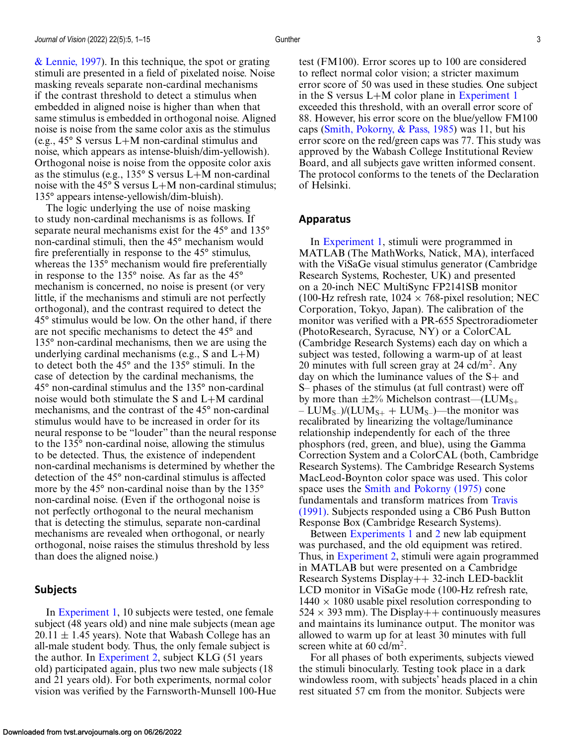[& Lennie, 1997\)](#page-10-0). In this technique, the spot or grating stimuli are presented in a field of pixelated noise. Noise masking reveals separate non-cardinal mechanisms if the contrast threshold to detect a stimulus when embedded in aligned noise is higher than when that same stimulus is embedded in orthogonal noise. Aligned noise is noise from the same color axis as the stimulus (e.g., 45° S versus L+M non-cardinal stimulus and noise, which appears as intense-bluish/dim-yellowish). Orthogonal noise is noise from the opposite color axis as the stimulus (e.g.,  $135^{\circ}$  S versus L+M non-cardinal noise with the 45 $\degree$  S versus L+M non-cardinal stimulus; 135° appears intense-yellowish/dim-bluish).

The logic underlying the use of noise masking to study non-cardinal mechanisms is as follows. If separate neural mechanisms exist for the 45° and 135° non-cardinal stimuli, then the 45° mechanism would fire preferentially in response to the 45° stimulus, whereas the 135° mechanism would fire preferentially in response to the 135° noise. As far as the 45° mechanism is concerned, no noise is present (or very little, if the mechanisms and stimuli are not perfectly orthogonal), and the contrast required to detect the 45° stimulus would be low. On the other hand, if there are not specific mechanisms to detect the 45° and 135° non-cardinal mechanisms, then we are using the underlying cardinal mechanisms (e.g., S and  $L+M$ ) to detect both the 45° and the 135° stimuli. In the case of detection by the cardinal mechanisms, the 45° non-cardinal stimulus and the 135° non-cardinal noise would both stimulate the S and L+M cardinal mechanisms, and the contrast of the 45° non-cardinal stimulus would have to be increased in order for its neural response to be "louder" than the neural response to the 135° non-cardinal noise, allowing the stimulus to be detected. Thus, the existence of independent non-cardinal mechanisms is determined by whether the detection of the 45° non-cardinal stimulus is affected more by the 45° non-cardinal noise than by the 135° non-cardinal noise. (Even if the orthogonal noise is not perfectly orthogonal to the neural mechanism that is detecting the stimulus, separate non-cardinal mechanisms are revealed when orthogonal, or nearly orthogonal, noise raises the stimulus threshold by less than does the aligned noise.)

#### **Subjects**

In [Experiment 1,](#page-3-0) 10 subjects were tested, one female subject (48 years old) and nine male subjects (mean age  $20.11 \pm 1.45$  years). Note that Wabash College has an all-male student body. Thus, the only female subject is the author. In [Experiment 2,](#page-5-0) subject KLG (51 years old) participated again, plus two new male subjects (18 and 21 years old). For both experiments, normal color vision was verified by the Farnsworth-Munsell 100-Hue test (FM100). Error scores up to 100 are considered to reflect normal color vision; a stricter maximum error score of 50 was used in these studies. One subject in the S versus L+M color plane in [Experiment 1](#page-3-0) exceeded this threshold, with an overall error score of 88. However, his error score on the blue/yellow FM100 caps [\(Smith, Pokorny, & Pass, 1985\)](#page-10-0) was 11, but his error score on the red/green caps was 77. This study was approved by the Wabash College Institutional Review Board, and all subjects gave written informed consent. The protocol conforms to the tenets of the Declaration of Helsinki.

#### **Apparatus**

In [Experiment 1,](#page-3-0) stimuli were programmed in MATLAB (The MathWorks, Natick, MA), interfaced with the ViSaGe visual stimulus generator (Cambridge Research Systems, Rochester, UK) and presented on a 20-inch NEC MultiSync FP2141SB monitor (100-Hz refresh rate,  $1024 \times 768$ -pixel resolution; NEC Corporation, Tokyo, Japan). The calibration of the monitor was verified with a PR-655 Spectroradiometer (PhotoResearch, Syracuse, NY) or a ColorCAL (Cambridge Research Systems) each day on which a subject was tested, following a warm-up of at least 20 minutes with full screen gray at  $24$  cd/m<sup>2</sup>. Any day on which the luminance values of the S+ and S– phases of the stimulus (at full contrast) were off by more than  $\pm 2\%$  Michelson contrast—(LUM<sub>S+</sub>  $– LUM<sub>S–</sub>)/(LUM<sub>S+</sub> + LUM<sub>S–</sub>)$ —the monitor was recalibrated by linearizing the voltage/luminance relationship independently for each of the three phosphors (red, green, and blue), using the Gamma Correction System and a ColorCAL (both, Cambridge Research Systems). The Cambridge Research Systems MacLeod-Boynton color space was used. This color space uses the [Smith and Pokorny \(1975\)](#page-10-0) cone fundamentals and transform matrices from Travis [\(1991\). Subjects responded using a CB6 Push Butt](#page-11-0)on Response Box (Cambridge Research Systems).

Between [Experiments 1](#page-3-0) and [2](#page-5-0) new lab equipment was purchased, and the old equipment was retired. Thus, in [Experiment 2,](#page-5-0) stimuli were again programmed in MATLAB but were presented on a Cambridge Research Systems Display++ 32-inch LED-backlit LCD monitor in ViSaGe mode (100-Hz refresh rate,  $1440 \times 1080$  usable pixel resolution corresponding to  $524 \times 393$  mm). The Display + + continuously measures and maintains its luminance output. The monitor was allowed to warm up for at least 30 minutes with full screen white at  $60 \text{ cd/m}^2$ .

For all phases of both experiments, subjects viewed the stimuli binocularly. Testing took place in a dark windowless room, with subjects' heads placed in a chin rest situated 57 cm from the monitor. Subjects were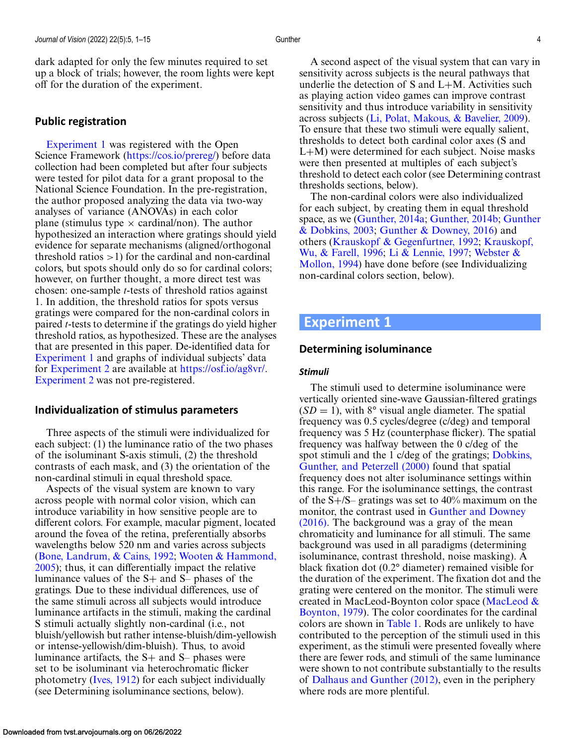<span id="page-3-0"></span>dark adapted for only the few minutes required to set up a block of trials; however, the room lights were kept off for the duration of the experiment.

### **Public registration**

Experiment 1 was registered with the Open Science Framework [\(https://cos.io/prereg/\)](https://cos.io/prereg/) before data collection had been completed but after four subjects were tested for pilot data for a grant proposal to the National Science Foundation. In the pre-registration, the author proposed analyzing the data via two-way analyses of variance (ANOVAs) in each color plane (stimulus type  $\times$  cardinal/non). The author hypothesized an interaction where gratings should yield evidence for separate mechanisms (aligned/orthogonal threshold ratios  $>1$ ) for the cardinal and non-cardinal colors, but spots should only do so for cardinal colors; however, on further thought, a more direct test was chosen: one-sample *t*-tests of threshold ratios against 1. In addition, the threshold ratios for spots versus gratings were compared for the non-cardinal colors in paired *t*-tests to determine if the gratings do yield higher threshold ratios, as hypothesized. These are the analyses that are presented in this paper. De-identified data for Experiment 1 and graphs of individual subjects' data for [Experiment 2](#page-5-0) are available at [https://osf.io/ag8vr/.](https://osf.io/ag8vr/) [Experiment 2](#page-5-0) was not pre-registered.

#### **Individualization of stimulus parameters**

Three aspects of the stimuli were individualized for each subject: (1) the luminance ratio of the two phases of the isoluminant S-axis stimuli, (2) the threshold contrasts of each mask, and (3) the orientation of the non-cardinal stimuli in equal threshold space.

Aspects of the visual system are known to vary across people with normal color vision, which can introduce variability in how sensitive people are to different colors. For example, macular pigment, located around the fovea of the retina, preferentially absorbs wavelengths below 520 nm and varies across subjects [\(Bone, Landrum, & Cains, 1992;](#page-9-0) Wooten & Hammond, [2005\); thus, it can differentially impact the relative](#page-11-0) luminance values of the S+ and S– phases of the gratings. Due to these individual differences, use of the same stimuli across all subjects would introduce luminance artifacts in the stimuli, making the cardinal S stimuli actually slightly non-cardinal (i.e., not bluish/yellowish but rather intense-bluish/dim-yellowish or intense-yellowish/dim-bluish). Thus, to avoid luminance artifacts, the S+ and S– phases were set to be isoluminant via heterochromatic flicker photometry [\(Ives, 1912\)](#page-10-0) for each subject individually (see Determining isoluminance sections, below).

A second aspect of the visual system that can vary in sensitivity across subjects is the neural pathways that underlie the detection of  $S$  and  $L+M$ . Activities such as playing action video games can improve contrast sensitivity and thus introduce variability in sensitivity across subjects [\(Li, Polat, Makous, & Bavelier, 2009\)](#page-10-0). To ensure that these two stimuli were equally salient, thresholds to detect both cardinal color axes (S and L+M) were determined for each subject. Noise masks were then presented at multiples of each subject's threshold to detect each color (see Determining contrast thresholds sections, below).

The non-cardinal colors were also individualized for each subject, by creating them in equal threshold space, as we [\(Gunther, 2014a;](#page-10-0) [Gunther, 2014b;](#page-10-0) Gunther & Dobkins, 2003; [Gunther & Downey, 2016\) and](#page-10-0) [others \(Krauskopf & Gegenfurtner, 1992;](#page-10-0) Krauskopf, Wu, & Farell, 1996; [Li & Lennie, 1997;](#page-10-0) Webster & [Mollon, 1994\) have done before \(see Individualizing](#page-11-0) non-cardinal colors section, below).

# **Experiment 1**

#### **Determining isoluminance**

#### *Stimuli*

The stimuli used to determine isoluminance were vertically oriented sine-wave Gaussian-filtered gratings  $(SD = 1)$ , with 8° visual angle diameter. The spatial frequency was 0.5 cycles/degree (c/deg) and temporal frequency was 5 Hz (counterphase flicker). The spatial frequency was halfway between the 0 c/deg of the [spot stimuli and the 1 c/deg of the gratings;](#page-9-0) Dobkins, Gunther, and Peterzell (2000) found that spatial frequency does not alter isoluminance settings within this range. For the isoluminance settings, the contrast of the  $S + / S$ – gratings was set to 40% maximum on the monitor, the contrast used in Gunther and Downey [\(2016\). The background was a gray of the mean](#page-10-0) chromaticity and luminance for all stimuli. The same background was used in all paradigms (determining isoluminance, contrast threshold, noise masking). A black fixation dot (0.2° diameter) remained visible for the duration of the experiment. The fixation dot and the grating were centered on the monitor. The stimuli were [created in MacLeod-Boynton color space \(MacLeod &](#page-10-0) Boynton, 1979). The color coordinates for the cardinal colors are shown in [Table 1.](#page-4-0) Rods are unlikely to have contributed to the perception of the stimuli used in this experiment, as the stimuli were presented foveally where there are fewer rods, and stimuli of the same luminance were shown to not contribute substantially to the results of [Dalhaus and Gunther \(2012\),](#page-9-0) even in the periphery where rods are more plentiful.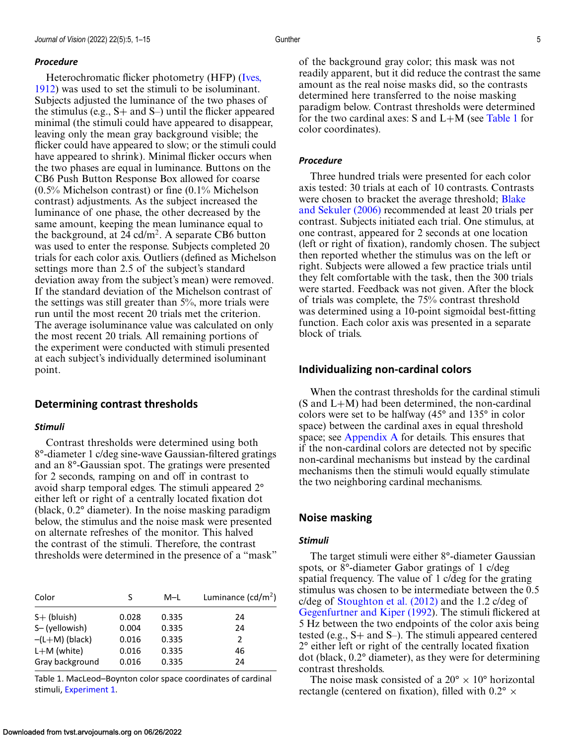#### <span id="page-4-0"></span>*Procedure*

Heterochromatic flicker photometry (HFP) (Ives, [1912\) was used to set the stimuli to be isoluminant.](#page-10-0) Subjects adjusted the luminance of the two phases of the stimulus (e.g.,  $S+$  and  $S-$ ) until the flicker appeared minimal (the stimuli could have appeared to disappear, leaving only the mean gray background visible; the flicker could have appeared to slow; or the stimuli could have appeared to shrink). Minimal flicker occurs when the two phases are equal in luminance. Buttons on the CB6 Push Button Response Box allowed for coarse (0.5% Michelson contrast) or fine (0.1% Michelson contrast) adjustments. As the subject increased the luminance of one phase, the other decreased by the same amount, keeping the mean luminance equal to the background, at 24 cd/m<sup>2</sup>. A separate CB6 button was used to enter the response. Subjects completed 20 trials for each color axis. Outliers (defined as Michelson settings more than 2.5 of the subject's standard deviation away from the subject's mean) were removed. If the standard deviation of the Michelson contrast of the settings was still greater than 5%, more trials were run until the most recent 20 trials met the criterion. The average isoluminance value was calculated on only the most recent 20 trials. All remaining portions of the experiment were conducted with stimuli presented at each subject's individually determined isoluminant point.

#### **Determining contrast thresholds**

#### *Stimuli*

Contrast thresholds were determined using both 8°-diameter 1 c/deg sine-wave Gaussian-filtered gratings and an 8°-Gaussian spot. The gratings were presented for 2 seconds, ramping on and off in contrast to avoid sharp temporal edges. The stimuli appeared 2° either left or right of a centrally located fixation dot (black, 0.2° diameter). In the noise masking paradigm below, the stimulus and the noise mask were presented on alternate refreshes of the monitor. This halved the contrast of the stimuli. Therefore, the contrast thresholds were determined in the presence of a "mask"

| Color            | S     | M-L   | Luminance $(cd/m^2)$ |  |  |
|------------------|-------|-------|----------------------|--|--|
| $S+$ (bluish)    | 0.028 | 0.335 | 24                   |  |  |
| S-(yellowish)    | 0.004 | 0.335 | 24                   |  |  |
| $-(L+M)$ (black) | 0.016 | 0.335 | 2                    |  |  |
| $L+M$ (white)    | 0.016 | 0.335 | 46                   |  |  |
| Gray background  | 0.016 | 0.335 | 24                   |  |  |

Table 1. MacLeod–Boynton color space coordinates of cardinal stimuli, [Experiment 1.](#page-3-0)

of the background gray color; this mask was not readily apparent, but it did reduce the contrast the same amount as the real noise masks did, so the contrasts determined here transferred to the noise masking paradigm below. Contrast thresholds were determined for the two cardinal axes:  $S$  and  $L+M$  (see Table 1 for color coordinates).

#### *Procedure*

Three hundred trials were presented for each color axis tested: 30 trials at each of 10 contrasts. Contrasts [were chosen to bracket the average threshold;](#page-9-0) Blake and Sekuler (2006) recommended at least 20 trials per contrast. Subjects initiated each trial. One stimulus, at one contrast, appeared for 2 seconds at one location (left or right of fixation), randomly chosen. The subject then reported whether the stimulus was on the left or right. Subjects were allowed a few practice trials until they felt comfortable with the task, then the 300 trials were started. Feedback was not given. After the block of trials was complete, the 75% contrast threshold was determined using a 10-point sigmoidal best-fitting function. Each color axis was presented in a separate block of trials.

#### **Individualizing non-cardinal colors**

When the contrast thresholds for the cardinal stimuli (S and L+M) had been determined, the non-cardinal colors were set to be halfway (45° and 135° in color space) between the cardinal axes in equal threshold space; see [Appendix A](#page-11-0) for details. This ensures that if the non-cardinal colors are detected not by specific non-cardinal mechanisms but instead by the cardinal mechanisms then the stimuli would equally stimulate the two neighboring cardinal mechanisms.

#### **Noise masking**

#### *Stimuli*

The target stimuli were either 8°-diameter Gaussian spots, or 8°-diameter Gabor gratings of 1 c/deg spatial frequency. The value of 1 c/deg for the grating stimulus was chosen to be intermediate between the 0.5 c/deg of [Stoughton et al. \(2012\)](#page-10-0) and the 1.2 c/deg of [Gegenfurtner and Kiper \(1992\)](#page-10-0). The stimuli flickered at 5 Hz between the two endpoints of the color axis being tested (e.g., S+ and S–). The stimuli appeared centered 2° either left or right of the centrally located fixation dot (black, 0.2° diameter), as they were for determining contrast thresholds.

The noise mask consisted of a  $20^{\circ} \times 10^{\circ}$  horizontal rectangle (centered on fixation), filled with  $0.2^{\circ} \times$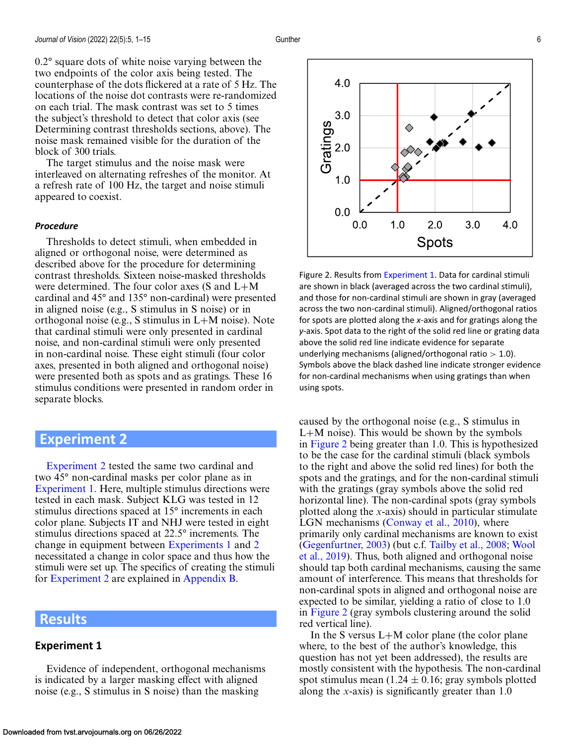<span id="page-5-0"></span>0.2° square dots of white noise varying between the two endpoints of the color axis being tested. The counterphase of the dots flickered at a rate of 5 Hz. The locations of the noise dot contrasts were re-randomized on each trial. The mask contrast was set to 5 times the subject's threshold to detect that color axis (see Determining contrast thresholds sections, above). The noise mask remained visible for the duration of the block of 300 trials.

The target stimulus and the noise mask were interleaved on alternating refreshes of the monitor. At a refresh rate of 100 Hz, the target and noise stimuli appeared to coexist.

#### *Procedure*

Thresholds to detect stimuli, when embedded in aligned or orthogonal noise, were determined as described above for the procedure for determining contrast thresholds. Sixteen noise-masked thresholds were determined. The four color axes (S and L+M cardinal and 45° and 135° non-cardinal) were presented in aligned noise (e.g., S stimulus in S noise) or in orthogonal noise (e.g., S stimulus in L+M noise). Note that cardinal stimuli were only presented in cardinal noise, and non-cardinal stimuli were only presented in non-cardinal noise. These eight stimuli (four color axes, presented in both aligned and orthogonal noise) were presented both as spots and as gratings. These 16 stimulus conditions were presented in random order in separate blocks.

# **Experiment 2**

Experiment 2 tested the same two cardinal and two 45° non-cardinal masks per color plane as in [Experiment 1.](#page-3-0) Here, multiple stimulus directions were tested in each mask. Subject KLG was tested in 12 stimulus directions spaced at 15° increments in each color plane. Subjects IT and NHJ were tested in eight stimulus directions spaced at 22.5° increments. The change in equipment between [Experiments 1](#page-3-0) and 2 necessitated a change in color space and thus how the stimuli were set up. The specifics of creating the stimuli for Experiment 2 are explained in [Appendix B.](#page-11-0)

# **Results**

#### **Experiment 1**

Evidence of independent, orthogonal mechanisms is indicated by a larger masking effect with aligned noise (e.g., S stimulus in S noise) than the masking



Figure 2. Results from [Experiment 1.](#page-3-0) Data for cardinal stimuli are shown in black (averaged across the two cardinal stimuli), and those for non-cardinal stimuli are shown in gray (averaged across the two non-cardinal stimuli). Aligned/orthogonal ratios for spots are plotted along the *x*-axis and for gratings along the *y*-axis. Spot data to the right of the solid red line or grating data above the solid red line indicate evidence for separate underlying mechanisms (aligned/orthogonal ratio  $> 1.0$ ). Symbols above the black dashed line indicate stronger evidence for non-cardinal mechanisms when using gratings than when using spots.

caused by the orthogonal noise (e.g., S stimulus in L+M noise). This would be shown by the symbols in Figure 2 being greater than 1.0. This is hypothesized to be the case for the cardinal stimuli (black symbols to the right and above the solid red lines) for both the spots and the gratings, and for the non-cardinal stimuli with the gratings (gray symbols above the solid red horizontal line). The non-cardinal spots (gray symbols plotted along the *x*-axis) should in particular stimulate LGN mechanisms [\(Conway et al., 2010\)](#page-9-0), where primarily only cardinal mechanisms are known to exist [\(Gegenfurtner, 2003\)](#page-10-0) (but c.f. [Tailby et al., 2008;](#page-10-0) Wool [et al., 2019\). Thus, both aligned and orthogonal noise](#page-11-0) should tap both cardinal mechanisms, causing the same amount of interference. This means that thresholds for non-cardinal spots in aligned and orthogonal noise are expected to be similar, yielding a ratio of close to 1.0 in Figure 2 (gray symbols clustering around the solid red vertical line).

In the S versus  $L+M$  color plane (the color plane where, to the best of the author's knowledge, this question has not yet been addressed), the results are mostly consistent with the hypothesis. The non-cardinal spot stimulus mean  $(1.24 \pm 0.16)$ ; gray symbols plotted along the *x*-axis) is significantly greater than 1.0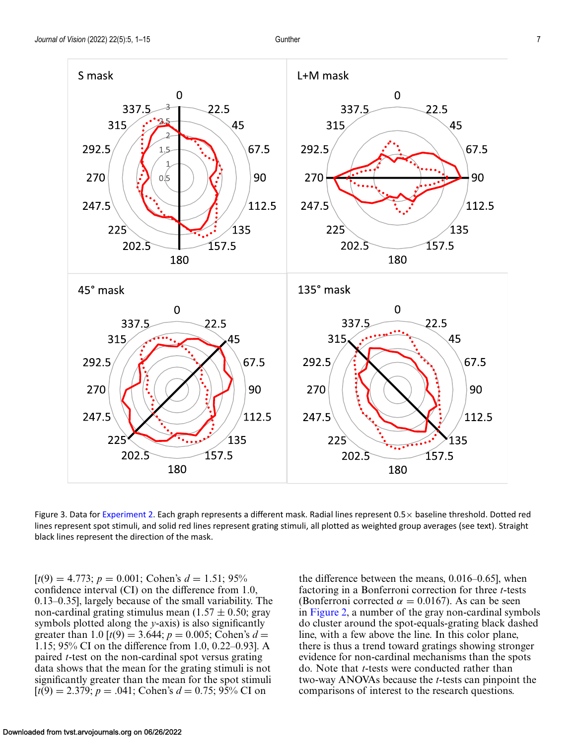<span id="page-6-0"></span>

Figure 3. Data for [Experiment 2.](#page-5-0) Each graph represents a different mask. Radial lines represent  $0.5\times$  baseline threshold. Dotted red lines represent spot stimuli, and solid red lines represent grating stimuli, all plotted as weighted group averages (see text). Straight black lines represent the direction of the mask.

 $[t(9) = 4.773; p = 0.001; \text{ Cohen's } d = 1.51; 95\%$ confidence interval (CI) on the difference from 1.0, 0.13–0.35], largely because of the small variability. The non-cardinal grating stimulus mean  $(1.57 \pm 0.50; \text{gray})$ symbols plotted along the *y*-axis) is also significantly greater than 1.0  $[t(9) = 3.644; p = 0.005; \text{Cohen's } d =$ 1.15; 95% CI on the difference from 1.0, 0.22–0.93]. A paired *t*-test on the non-cardinal spot versus grating data shows that the mean for the grating stimuli is not significantly greater than the mean for the spot stimuli  $[t(9) = 2.379; p = .041; \text{ Cohen's } d = 0.75; 95\% \text{ CI on}$ 

the difference between the means, 0.016–0.65], when factoring in a Bonferroni correction for three *t*-tests (Bonferroni corrected  $\alpha = 0.0167$ ). As can be seen in [Figure 2,](#page-5-0) a number of the gray non-cardinal symbols do cluster around the spot-equals-grating black dashed line, with a few above the line. In this color plane, there is thus a trend toward gratings showing stronger evidence for non-cardinal mechanisms than the spots do. Note that *t*-tests were conducted rather than two-way ANOVAs because the *t*-tests can pinpoint the comparisons of interest to the research questions.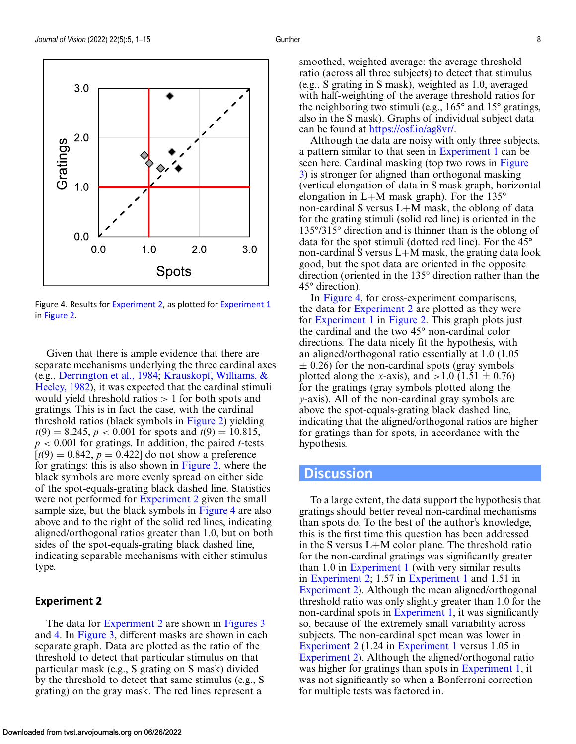

Figure 4. Results for [Experiment 2,](#page-5-0) as plotted for [Experiment 1](#page-3-0) in [Figure 2.](#page-5-0)

Given that there is ample evidence that there are separate mechanisms underlying the three cardinal axes (e.g., [Derrington et al., 1984;](#page-9-0) Krauskopf, Williams, & [Heeley, 1982\), it was expected that the cardinal stimuli](#page-10-0) would yield threshold ratios > 1 for both spots and gratings. This is in fact the case, with the cardinal threshold ratios (black symbols in [Figure 2\)](#page-5-0) yielding  $t(9) = 8.245$ ,  $p < 0.001$  for spots and  $t(9) = 10.815$ , *p* < 0.001 for gratings. In addition, the paired *t*-tests  $[t(9) = 0.842, p = 0.422]$  do not show a preference for gratings; this is also shown in [Figure 2,](#page-5-0) where the black symbols are more evenly spread on either side of the spot-equals-grating black dashed line. Statistics were not performed for [Experiment 2](#page-5-0) given the small sample size, but the black symbols in Figure 4 are also above and to the right of the solid red lines, indicating aligned/orthogonal ratios greater than 1.0, but on both sides of the spot-equals-grating black dashed line, indicating separable mechanisms with either stimulus type.

#### **Experiment 2**

The data for [Experiment 2](#page-5-0) are shown in [Figures 3](#page-6-0) and 4. In [Figure 3,](#page-6-0) different masks are shown in each separate graph. Data are plotted as the ratio of the threshold to detect that particular stimulus on that particular mask (e.g., S grating on S mask) divided by the threshold to detect that same stimulus (e.g., S grating) on the gray mask. The red lines represent a

smoothed, weighted average: the average threshold ratio (across all three subjects) to detect that stimulus (e.g., S grating in S mask), weighted as 1.0, averaged with half-weighting of the average threshold ratios for the neighboring two stimuli (e.g., 165° and 15° gratings, also in the S mask). Graphs of individual subject data can be found at [https://osf.io/ag8vr/.](https://osf.io/ag8vr/)

Although the data are noisy with only three subjects, a pattern similar to that seen in [Experiment 1](#page-3-0) can be seen here. Cardinal masking (top two rows in Figure [3\) is stronger for aligned than orthogonal masking](#page-6-0) (vertical elongation of data in S mask graph, horizontal elongation in L+M mask graph). For the 135° non-cardinal S versus L+M mask, the oblong of data for the grating stimuli (solid red line) is oriented in the 135°/315° direction and is thinner than is the oblong of data for the spot stimuli (dotted red line). For the 45° non-cardinal S versus L+M mask, the grating data look good, but the spot data are oriented in the opposite direction (oriented in the 135° direction rather than the 45° direction).

In Figure 4, for cross-experiment comparisons, the data for [Experiment 2](#page-5-0) are plotted as they were for [Experiment 1](#page-3-0) in [Figure 2.](#page-5-0) This graph plots just the cardinal and the two 45° non-cardinal color directions. The data nicely fit the hypothesis, with an aligned/orthogonal ratio essentially at 1.0 (1.05  $\pm$  0.26) for the non-cardinal spots (gray symbols plotted along the *x*-axis), and  $>1.0$  (1.51  $\pm$  0.76) for the gratings (gray symbols plotted along the *y*-axis). All of the non-cardinal gray symbols are above the spot-equals-grating black dashed line, indicating that the aligned/orthogonal ratios are higher for gratings than for spots, in accordance with the hypothesis.

# **Discussion**

To a large extent, the data support the hypothesis that gratings should better reveal non-cardinal mechanisms than spots do. To the best of the author's knowledge, this is the first time this question has been addressed in the S versus L+M color plane. The threshold ratio for the non-cardinal gratings was significantly greater than 1.0 in [Experiment 1](#page-3-0) (with very similar results in [Experiment 2;](#page-5-0) 1.57 in [Experiment 1](#page-3-0) and 1.51 in [Experiment 2\)](#page-5-0). Although the mean aligned/orthogonal threshold ratio was only slightly greater than 1.0 for the non-cardinal spots in [Experiment 1,](#page-3-0) it was significantly so, because of the extremely small variability across subjects. The non-cardinal spot mean was lower in [Experiment 2](#page-5-0) (1.24 in [Experiment 1](#page-3-0) versus 1.05 in [Experiment 2\)](#page-5-0). Although the aligned/orthogonal ratio was higher for gratings than spots in [Experiment 1,](#page-3-0) it was not significantly so when a Bonferroni correction for multiple tests was factored in.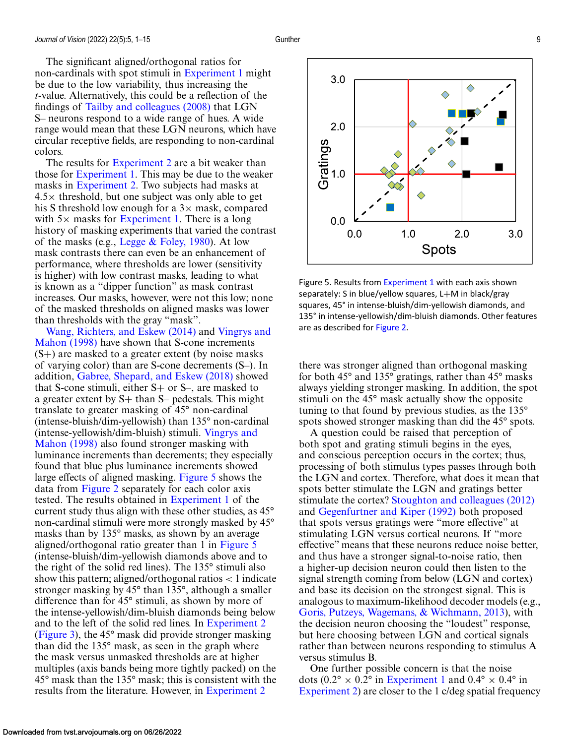The significant aligned/orthogonal ratios for non-cardinals with spot stimuli in [Experiment 1](#page-3-0) might be due to the low variability, thus increasing the *t*-value. Alternatively, this could be a reflection of the findings of [Tailby and colleagues \(2008\)](#page-10-0) that LGN S– neurons respond to a wide range of hues. A wide range would mean that these LGN neurons, which have circular receptive fields, are responding to non-cardinal colors.

The results for [Experiment 2](#page-5-0) are a bit weaker than those for [Experiment 1.](#page-3-0) This may be due to the weaker masks in [Experiment 2.](#page-5-0) Two subjects had masks at  $4.5\times$  threshold, but one subject was only able to get his S threshold low enough for a  $3\times$  mask, compared with  $5\times$  masks for [Experiment 1.](#page-3-0) There is a long history of masking experiments that varied the contrast of the masks (e.g., Legge  $& \text{Foley}, 1980$ ). At low mask contrasts there can even be an enhancement of performance, where thresholds are lower (sensitivity is higher) with low contrast masks, leading to what is known as a "dipper function" as mask contrast increases. Our masks, however, were not this low; none of the masked thresholds on aligned masks was lower than thresholds with the gray "mask".

[Wang, Richters, and Eskew \(2014\)](#page-11-0) and Vingrys and Mahon (1998) [have shown that S-cone increments](#page-11-0)  $(S+)$  are masked to a greater extent (by noise masks) of varying color) than are S-cone decrements (S–). In addition, [Gabree, Shepard, and Eskew \(2018\)](#page-9-0) showed that S-cone stimuli, either  $S+$  or  $S-$ , are masked to a greater extent by  $S+$  than  $S-$  pedestals. This might translate to greater masking of 45° non-cardinal (intense-bluish/dim-yellowish) than 135° non-cardinal [\(intense-yellowish/dim-bluish\) stimuli.](#page-11-0) Vingrys and Mahon (1998) also found stronger masking with luminance increments than decrements; they especially found that blue plus luminance increments showed large effects of aligned masking. Figure 5 shows the data from [Figure 2](#page-5-0) separately for each color axis tested. The results obtained in [Experiment 1](#page-3-0) of the current study thus align with these other studies, as 45° non-cardinal stimuli were more strongly masked by 45° masks than by 135° masks, as shown by an average aligned/orthogonal ratio greater than 1 in Figure 5 (intense-bluish/dim-yellowish diamonds above and to the right of the solid red lines). The 135° stimuli also show this pattern; aligned/orthogonal ratios  $\lt$  1 indicate stronger masking by 45° than 135°, although a smaller difference than for 45° stimuli, as shown by more of the intense-yellowish/dim-bluish diamonds being below and to the left of the solid red lines. In [Experiment 2](#page-5-0) [\(Figure 3\)](#page-6-0), the 45° mask did provide stronger masking than did the 135° mask, as seen in the graph where the mask versus unmasked thresholds are at higher multiples (axis bands being more tightly packed) on the 45° mask than the 135° mask; this is consistent with the results from the literature. However, in [Experiment 2](#page-5-0)



Figure 5. Results from [Experiment 1](#page-3-0) with each axis shown separately: S in blue/yellow squares, L+M in black/gray squares, 45° in intense-bluish/dim-yellowish diamonds, and 135° in intense-yellowish/dim-bluish diamonds. Other features are as described for [Figure 2.](#page-5-0)

there was stronger aligned than orthogonal masking for both 45° and 135° gratings, rather than 45° masks always yielding stronger masking. In addition, the spot stimuli on the 45° mask actually show the opposite tuning to that found by previous studies, as the 135° spots showed stronger masking than did the 45° spots.

A question could be raised that perception of both spot and grating stimuli begins in the eyes, and conscious perception occurs in the cortex; thus, processing of both stimulus types passes through both the LGN and cortex. Therefore, what does it mean that spots better stimulate the LGN and gratings better stimulate the cortex? [Stoughton and colleagues \(2012\)](#page-10-0) and [Gegenfurtner and Kiper \(1992\)](#page-10-0) both proposed that spots versus gratings were "more effective" at stimulating LGN versus cortical neurons. If "more effective" means that these neurons reduce noise better, and thus have a stronger signal-to-noise ratio, then a higher-up decision neuron could then listen to the signal strength coming from below (LGN and cortex) and base its decision on the strongest signal. This is analogous to maximum-likelihood decoder models (e.g., [Goris, Putzeys, Wagemans, & Wichmann, 2013\)](#page-10-0), with the decision neuron choosing the "loudest" response, but here choosing between LGN and cortical signals rather than between neurons responding to stimulus A versus stimulus B.

One further possible concern is that the noise dots (0.2° × 0.2° in [Experiment 1](#page-3-0) and 0.4° × 0.4° in [Experiment 2\)](#page-5-0) are closer to the 1 c/deg spatial frequency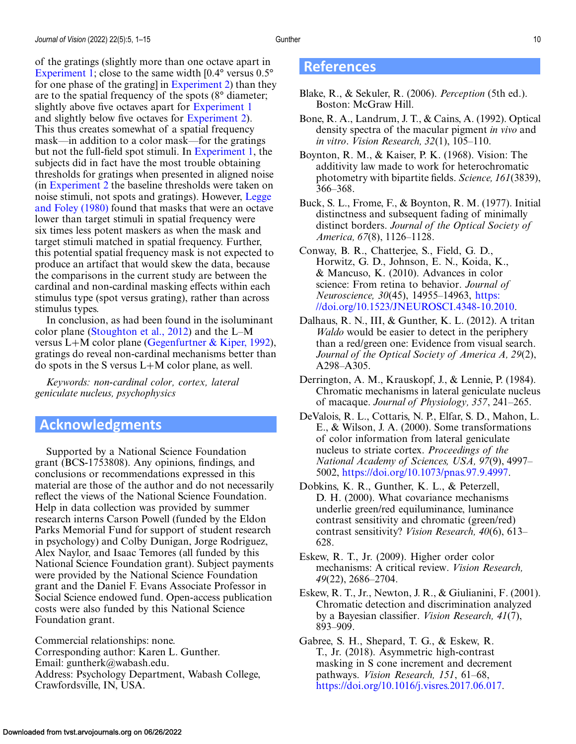<span id="page-9-0"></span>of the gratings (slightly more than one octave apart in [Experiment 1;](#page-3-0) close to the same width  $[0.4^{\circ}$  versus  $0.5^{\circ}$ for one phase of the grating] in [Experiment 2\)](#page-5-0) than they are to the spatial frequency of the spots (8° diameter; slightly above five octaves apart for [Experiment 1](#page-3-0) and slightly below five octaves for [Experiment 2\)](#page-5-0). This thus creates somewhat of a spatial frequency mask—in addition to a color mask—for the gratings but not the full-field spot stimuli. In [Experiment 1,](#page-3-0) the subjects did in fact have the most trouble obtaining thresholds for gratings when presented in aligned noise (in [Experiment 2](#page-5-0) the baseline thresholds were taken on [noise stimuli, not spots and gratings\). However,](#page-10-0) Legge and Foley (1980) found that masks that were an octave lower than target stimuli in spatial frequency were six times less potent maskers as when the mask and target stimuli matched in spatial frequency. Further, this potential spatial frequency mask is not expected to produce an artifact that would skew the data, because the comparisons in the current study are between the cardinal and non-cardinal masking effects within each stimulus type (spot versus grating), rather than across stimulus types.

In conclusion, as had been found in the isoluminant color plane [\(Stoughton et al., 2012\)](#page-10-0) and the L–M versus L+M color plane (Gegenfurtner  $\&$  Kiper, 1992), gratings do reveal non-cardinal mechanisms better than do spots in the S versus L+M color plane, as well.

*Keywords: non-cardinal color, cortex, lateral geniculate nucleus, psychophysics*

# **Acknowledgments**

Supported by a National Science Foundation grant (BCS-1753808). Any opinions, findings, and conclusions or recommendations expressed in this material are those of the author and do not necessarily reflect the views of the National Science Foundation. Help in data collection was provided by summer research interns Carson Powell (funded by the Eldon Parks Memorial Fund for support of student research in psychology) and Colby Dunigan, Jorge Rodriguez, Alex Naylor, and Isaac Temores (all funded by this National Science Foundation grant). Subject payments were provided by the National Science Foundation grant and the Daniel F. Evans Associate Professor in Social Science endowed fund. Open-access publication costs were also funded by this National Science Foundation grant.

Commercial relationships: none. Corresponding author: Karen L. Gunther. Email: guntherk@wabash.edu. Address: Psychology Department, Wabash College, Crawfordsville, IN, USA.

# **References**

- Blake, R., & Sekuler, R. (2006). *Perception* (5th ed.). Boston: McGraw Hill.
- Bone, R. A., Landrum, J. T., & Cains, A. (1992). Optical density spectra of the macular pigment *in vivo* and *in vitro*. *Vision Research, 32*(1), 105–110.
- Boynton, R. M., & Kaiser, P. K. (1968). Vision: The additivity law made to work for heterochromatic photometry with bipartite fields. *Science, 161*(3839), 366–368.
- Buck, S. L., Frome, F., & Boynton, R. M. (1977). Initial distinctness and subsequent fading of minimally distinct borders. *Journal of the Optical Society of America, 67*(8), 1126–1128.
- Conway, B. R., Chatterjee, S., Field, G. D., Horwitz, G. D., Johnson, E. N., Koida, K., & Mancuso, K. (2010). Advances in color science: From retina to behavior. *Journal of Neuroscience, 30*(45), 14955–14963, https: [//doi.org/10.1523/JNEUROSCI.4348-10.2010.](https://doi.org/10.1523/JNEUROSCI.4348-10.2010)
- Dalhaus, R. N., III, & Gunther, K. L. (2012). A tritan *Waldo* would be easier to detect in the periphery than a red/green one: Evidence from visual search. *Journal of the Optical Society of America A, 29*(2), A298–A305.
- Derrington, A. M., Krauskopf, J., & Lennie, P. (1984). Chromatic mechanisms in lateral geniculate nucleus of macaque. *Journal of Physiology, 357*, 241–265.
- DeValois, R. L., Cottaris, N. P., Elfar, S. D., Mahon, L. E., & Wilson, J. A. (2000). Some transformations of color information from lateral geniculate nucleus to striate cortex. *Proceedings of the National Academy of Sciences, USA, 97*(9), 4997– 5002, [https://doi.org/10.1073/pnas.97.9.4997.](https://doi.org/10.1073/pnas.97.9.4997)
- Dobkins, K. R., Gunther, K. L., & Peterzell, D. H. (2000). What covariance mechanisms underlie green/red equiluminance, luminance contrast sensitivity and chromatic (green/red) contrast sensitivity? *Vision Research, 40*(6), 613– 628.
- Eskew, R. T., Jr. (2009). Higher order color mechanisms: A critical review. *Vision Research, 49*(22), 2686–2704.
- Eskew, R. T., Jr., Newton, J. R., & Giulianini, F. (2001). Chromatic detection and discrimination analyzed by a Bayesian classifier. *Vision Research, 41*(7), 893–909.

Gabree, S. H., Shepard, T. G., & Eskew, R. T., Jr. (2018). Asymmetric high-contrast masking in S cone increment and decrement pathways. *Vision Research, 151*, 61–68, [https://doi.org/10.1016/j.visres.2017.06.017.](https://doi.org/10.1016/j.visres.2017.06.017)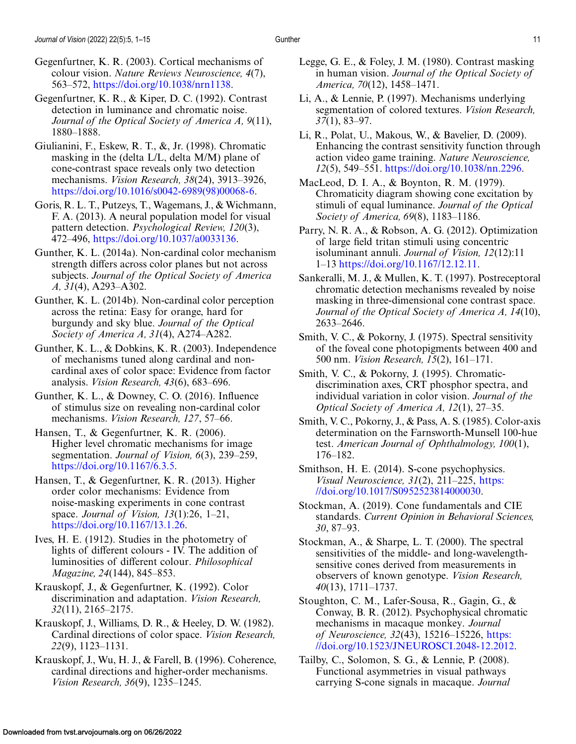<span id="page-10-0"></span>Gegenfurtner, K. R., & Kiper, D. C. (1992). Contrast detection in luminance and chromatic noise. *Journal of the Optical Society of America A, 9*(11), 1880–1888.

- Giulianini, F., Eskew, R. T., &, Jr. (1998). Chromatic masking in the (delta L/L, delta M/M) plane of cone-contrast space reveals only two detection mechanisms. *Vision Research, 38*(24), 3913–3926, [https://doi.org/10.1016/s0042-6989\(98\)00068-6.](https://doi.org/10.1016/s0042-6989(98)00068-6)
- Goris, R. L. T., Putzeys, T., Wagemans, J., & Wichmann, F. A. (2013). A neural population model for visual pattern detection. *Psychological Review, 120*(3), 472–496, [https://doi.org/10.1037/a0033136.](https://doi.org/10.1037/a0033136)
- Gunther, K. L. (2014a). Non-cardinal color mechanism strength differs across color planes but not across subjects. *Journal of the Optical Society of America A, 31*(4), A293–A302.
- Gunther, K. L. (2014b). Non-cardinal color perception across the retina: Easy for orange, hard for burgundy and sky blue. *Journal of the Optical Society of America A, 31*(4), A274–A282.
- Gunther, K. L., & Dobkins, K. R. (2003). Independence of mechanisms tuned along cardinal and noncardinal axes of color space: Evidence from factor analysis. *Vision Research, 43*(6), 683–696.
- Gunther, K. L., & Downey, C. O. (2016). Influence of stimulus size on revealing non-cardinal color mechanisms. *Vision Research, 127*, 57–66.
- Hansen, T., & Gegenfurtner, K. R. (2006). Higher level chromatic mechanisms for image segmentation. *Journal of Vision, 6*(3), 239–259, [https://doi.org/10.1167/6.3.5.](https://doi.org/10.1167/6.3.5)
- Hansen, T., & Gegenfurtner, K. R. (2013). Higher order color mechanisms: Evidence from noise-masking experiments in cone contrast space. *Journal of Vision, 13*(1):26, 1–21, [https://doi.org/10.1167/13.1.26.](https://doi.org/10.1167/13.1.26)
- Ives, H. E. (1912). Studies in the photometry of lights of different colours - IV. The addition of luminosities of different colour. *Philosophical Magazine, 24*(144), 845–853.
- Krauskopf, J., & Gegenfurtner, K. (1992). Color discrimination and adaptation. *Vision Research, 32*(11), 2165–2175.
- Krauskopf, J., Williams, D. R., & Heeley, D. W. (1982). Cardinal directions of color space. *Vision Research, 22*(9), 1123–1131.
- Krauskopf, J., Wu, H. J., & Farell, B. (1996). Coherence, cardinal directions and higher-order mechanisms. *Vision Research, 36*(9), 1235–1245.
- Legge, G. E., & Foley, J. M. (1980). Contrast masking in human vision. *Journal of the Optical Society of America, 70*(12), 1458–1471.
- Li, A., & Lennie, P. (1997). Mechanisms underlying segmentation of colored textures. *Vision Research, 37*(1), 83–97.
- Li, R., Polat, U., Makous, W., & Bavelier, D. (2009). Enhancing the contrast sensitivity function through action video game training. *Nature Neuroscience, 12*(5), 549–551. [https://doi.org/10.1038/nn.2296.](https://doi.org/10.1038/nn.2296)
- MacLeod, D. I. A., & Boynton, R. M. (1979). Chromaticity diagram showing cone excitation by stimuli of equal luminance. *Journal of the Optical Society of America, 69*(8), 1183–1186.
- Parry, N. R. A., & Robson, A. G. (2012). Optimization of large field tritan stimuli using concentric isoluminant annuli. *Journal of Vision, 12*(12):11 1–13 [https://doi.org/10.1167/12.12.11.](https://doi.org/10.1167/12.12.11)
- Sankeralli, M. J., & Mullen, K. T. (1997). Postreceptoral chromatic detection mechanisms revealed by noise masking in three-dimensional cone contrast space. *Journal of the Optical Society of America A, 14*(10), 2633–2646.
- Smith, V. C., & Pokorny, J. (1975). Spectral sensitivity of the foveal cone photopigments between 400 and 500 nm. *Vision Research, 15*(2), 161–171.
- Smith, V. C., & Pokorny, J. (1995). Chromaticdiscrimination axes, CRT phosphor spectra, and individual variation in color vision. *Journal of the Optical Society of America A, 12*(1), 27–35.
- Smith, V. C., Pokorny, J., & Pass, A. S. (1985). Color-axis determination on the Farnsworth-Munsell 100-hue test. *American Journal of Ophthalmology, 100*(1), 176–182.
- Smithson, H. E. (2014). S-cone psychophysics. *Visual Neuroscience, 31*(2), 211–225, https: [//doi.org/10.1017/S0952523814000030.](https://doi.org/10.1017/S0952523814000030)
- Stockman, A. (2019). Cone fundamentals and CIE standards. *Current Opinion in Behavioral Sciences, 30*, 87–93.
- Stockman, A., & Sharpe, L. T. (2000). The spectral sensitivities of the middle- and long-wavelengthsensitive cones derived from measurements in observers of known genotype. *Vision Research, 40*(13), 1711–1737.
- Stoughton, C. M., Lafer-Sousa, R., Gagin, G., & Conway, B. R. (2012). Psychophysical chromatic mechanisms in macaque monkey. *Journal of Neuroscience, 32*(43), 15216–15226, https: [//doi.org/10.1523/JNEUROSCI.2048-12.2012.](https://doi.org/10.1523/JNEUROSCI.2048-12.2012)
- Tailby, C., Solomon, S. G., & Lennie, P. (2008). Functional asymmetries in visual pathways carrying S-cone signals in macaque. *Journal*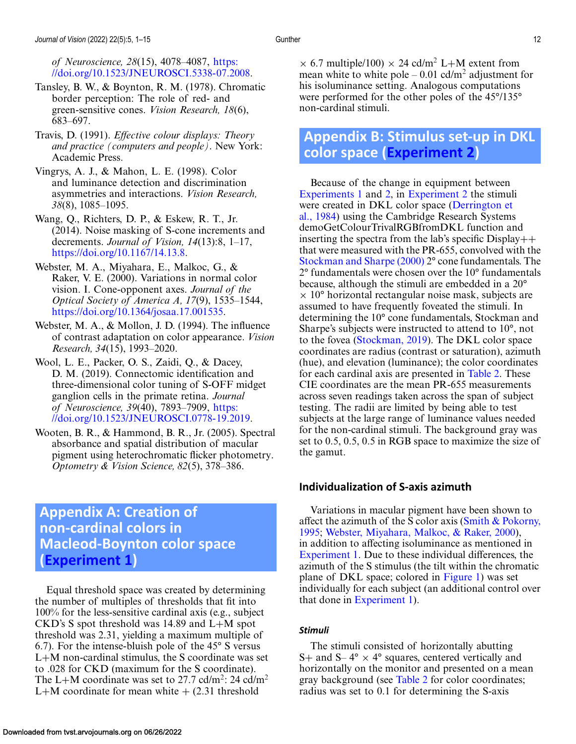<span id="page-11-0"></span>*of Neuroscience, 28*(15), 4078–4087, https: [//doi.org/10.1523/JNEUROSCI.5338-07.2008.](https://doi.org/10.1523/JNEUROSCI.5338-07.2008)

- Tansley, B. W., & Boynton, R. M. (1978). Chromatic border perception: The role of red- and green-sensitive cones. *Vision Research, 18*(6), 683–697.
- Travis, D. (1991). *Effective colour displays: Theory and practice (computers and people)*. New York: Academic Press.
- Vingrys, A. J., & Mahon, L. E. (1998). Color and luminance detection and discrimination asymmetries and interactions. *Vision Research, 38*(8), 1085–1095.
- Wang, Q., Richters, D. P., & Eskew, R. T., Jr. (2014). Noise masking of S-cone increments and decrements. *Journal of Vision, 14*(13):8, 1–17, [https://doi.org/10.1167/14.13.8.](https://doi.org/10.1167/14.13.8)
- Webster, M. A., Miyahara, E., Malkoc, G., & Raker, V. E. (2000). Variations in normal color vision. I. Cone-opponent axes. *Journal of the Optical Society of America A, 17*(9), 1535–1544, [https://doi.org/10.1364/josaa.17.001535.](https://doi.org/10.1364/josaa.17.001535)
- Webster, M. A., & Mollon, J. D. (1994). The influence of contrast adaptation on color appearance. *Vision Research, 34*(15), 1993–2020.
- Wool, L. E., Packer, O. S., Zaidi, Q., & Dacey, D. M. (2019). Connectomic identification and three-dimensional color tuning of S-OFF midget ganglion cells in the primate retina. *Journal of Neuroscience, 39*(40), 7893–7909, https: [//doi.org/10.1523/JNEUROSCI.0778-19.2019.](https://doi.org/10.1523/JNEUROSCI.0778-19.2019)
- Wooten, B. R., & Hammond, B. R., Jr. (2005). Spectral absorbance and spatial distribution of macular pigment using heterochromatic flicker photometry. *Optometry & Vision Science, 82*(5), 378–386.

# **Appendix A: Creation of non-cardinal colors in Macleod-Boynton color space [\(Experiment 1\)](#page-3-0)**

Equal threshold space was created by determining the number of multiples of thresholds that fit into 100% for the less-sensitive cardinal axis (e.g., subject CKD's S spot threshold was 14.89 and L+M spot threshold was 2.31, yielding a maximum multiple of 6.7). For the intense-bluish pole of the 45° S versus L+M non-cardinal stimulus, the S coordinate was set to .028 for CKD (maximum for the S coordinate). The L+M coordinate was set to 27.7 cd/m<sup>2</sup>: 24 cd/m<sup>2</sup> L+M coordinate for mean white  $+$  (2.31 threshold

 $\times$  6.7 multiple/100)  $\times$  24 cd/m<sup>2</sup> L+M extent from mean white to white pole  $-0.01$  cd/m<sup>2</sup> adjustment for his isoluminance setting. Analogous computations were performed for the other poles of the 45°/135° non-cardinal stimuli.

# **Appendix B: Stimulus set-up in DKL color space [\(Experiment 2\)](#page-5-0)**

Because of the change in equipment between [Experiments 1](#page-3-0) and [2,](#page-5-0) in [Experiment 2](#page-5-0) the stimuli were created in DKL color space (Derrington et [al., 1984\) using the Cambridge Research Systems](#page-9-0) demoGetColourTrivalRGBfromDKL function and inserting the spectra from the lab's specific  $Display++$ that were measured with the PR-655, convolved with the [Stockman and Sharpe \(2000\)](#page-10-0) 2° cone fundamentals. The 2° fundamentals were chosen over the 10° fundamentals because, although the stimuli are embedded in a 20°  $\times$  10 $\degree$  horizontal rectangular noise mask, subjects are assumed to have frequently foveated the stimuli. In determining the 10° cone fundamentals, Stockman and Sharpe's subjects were instructed to attend to 10°, not to the fovea [\(Stockman, 2019\)](#page-10-0). The DKL color space coordinates are radius (contrast or saturation), azimuth (hue), and elevation (luminance); the color coordinates for each cardinal axis are presented in [Table 2.](#page-12-0) These CIE coordinates are the mean PR-655 measurements across seven readings taken across the span of subject testing. The radii are limited by being able to test subjects at the large range of luminance values needed for the non-cardinal stimuli. The background gray was set to 0.5, 0.5, 0.5 in RGB space to maximize the size of the gamut.

# **Individualization of S-axis azimuth**

Variations in macular pigment have been shown to affect the azimuth of the S color axis (Smith  $&$  Pokorny, 1995; Webster, Miyahara, Malkoc, & Raker, 2000), in addition to affecting isoluminance as mentioned in [Experiment 1.](#page-3-0) Due to these individual differences, the azimuth of the S stimulus (the tilt within the chromatic plane of DKL space; colored in [Figure 1\)](#page-1-0) was set individually for each subject (an additional control over that done in [Experiment 1\)](#page-3-0).

#### *Stimuli*

The stimuli consisted of horizontally abutting S+ and S–  $4^{\circ} \times 4^{\circ}$  squares, centered vertically and horizontally on the monitor and presented on a mean gray background (see [Table 2](#page-12-0) for color coordinates; radius was set to 0.1 for determining the S-axis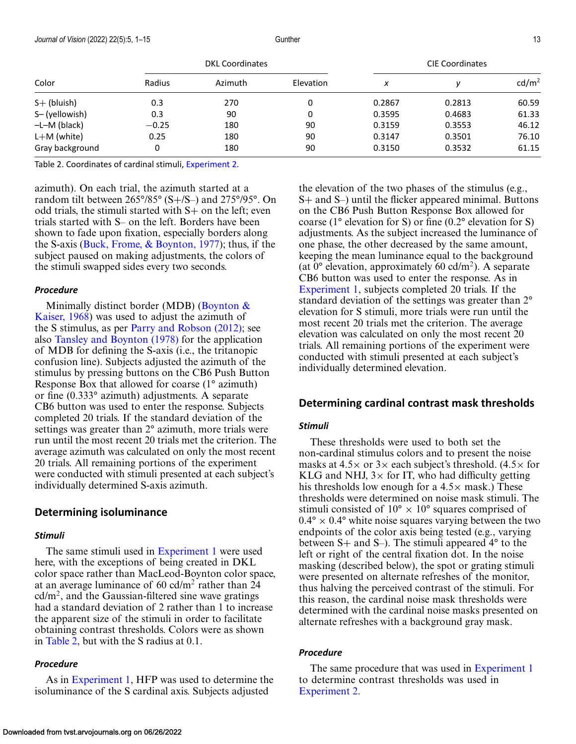<span id="page-12-0"></span>

| Color           | <b>DKL Coordinates</b> |         |           | <b>CIE Coordinates</b> |        |                   |
|-----------------|------------------------|---------|-----------|------------------------|--------|-------------------|
|                 | Radius                 | Azimuth | Elevation | x                      |        | cd/m <sup>2</sup> |
| $S+$ (bluish)   | 0.3                    | 270     | 0         | 0.2867                 | 0.2813 | 60.59             |
| S-(yellowish)   | 0.3                    | 90      | 0         | 0.3595                 | 0.4683 | 61.33             |
| $-L-M$ (black)  | $-0.25$                | 180     | 90        | 0.3159                 | 0.3553 | 46.12             |
| $L+M$ (white)   | 0.25                   | 180     | 90        | 0.3147                 | 0.3501 | 76.10             |
| Gray background | 0                      | 180     | 90        | 0.3150                 | 0.3532 | 61.15             |

Table 2. Coordinates of cardinal stimuli, [Experiment 2.](#page-5-0)

azimuth). On each trial, the azimuth started at a random tilt between 265°/85° (S+/S–) and 275°/95°. On odd trials, the stimuli started with S+ on the left; even trials started with S– on the left. Borders have been shown to fade upon fixation, especially borders along the S-axis (Buck, Frome,  $\&$  Boynton, 1977); thus, if the subject paused on making adjustments, the colors of the stimuli swapped sides every two seconds.

#### *Procedure*

Minimally distinct border (MDB) (Boynton  $\&$ [Kaiser, 1968\) was used to adjust the azimuth of](#page-9-0) the S stimulus, as per [Parry and Robson \(2012\);](#page-10-0) see also [Tansley and Boynton \(1978\)](#page-11-0) for the application of MDB for defining the S-axis (i.e., the tritanopic confusion line). Subjects adjusted the azimuth of the stimulus by pressing buttons on the CB6 Push Button Response Box that allowed for coarse (1° azimuth) or fine (0.333° azimuth) adjustments. A separate CB6 button was used to enter the response. Subjects completed 20 trials. If the standard deviation of the settings was greater than 2° azimuth, more trials were run until the most recent 20 trials met the criterion. The average azimuth was calculated on only the most recent 20 trials. All remaining portions of the experiment were conducted with stimuli presented at each subject's individually determined S-axis azimuth.

#### **Determining isoluminance**

#### *Stimuli*

The same stimuli used in [Experiment 1](#page-3-0) were used here, with the exceptions of being created in DKL color space rather than MacLeod-Boynton color space, at an average luminance of  $60 \text{ cd/m}^2$  rather than 24  $cd/m<sup>2</sup>$ , and the Gaussian-filtered sine wave gratings had a standard deviation of 2 rather than 1 to increase the apparent size of the stimuli in order to facilitate obtaining contrast thresholds. Colors were as shown in Table 2, but with the S radius at 0.1.

#### *Procedure*

As in [Experiment 1,](#page-3-0) HFP was used to determine the isoluminance of the S cardinal axis. Subjects adjusted

the elevation of the two phases of the stimulus (e.g., S+ and S–) until the flicker appeared minimal. Buttons on the CB6 Push Button Response Box allowed for coarse ( $1^{\circ}$  elevation for S) or fine (0.2° elevation for S) adjustments. As the subject increased the luminance of one phase, the other decreased by the same amount, keeping the mean luminance equal to the background (at  $0^{\circ}$  elevation, approximately 60 cd/m<sup>2</sup>). A separate CB6 button was used to enter the response. As in [Experiment 1,](#page-3-0) subjects completed 20 trials. If the standard deviation of the settings was greater than 2° elevation for S stimuli, more trials were run until the most recent 20 trials met the criterion. The average elevation was calculated on only the most recent 20 trials. All remaining portions of the experiment were conducted with stimuli presented at each subject's individually determined elevation.

#### **Determining cardinal contrast mask thresholds**

#### *Stimuli*

These thresholds were used to both set the non-cardinal stimulus colors and to present the noise masks at  $4.5\times$  or  $3\times$  each subject's threshold. (4.5 $\times$  for KLG and NHJ,  $3\times$  for IT, who had difficulty getting his thresholds low enough for a  $4.5\times$  mask.) These thresholds were determined on noise mask stimuli. The stimuli consisted of  $10^{\circ} \times 10^{\circ}$  squares comprised of  $0.4^{\circ} \times 0.4^{\circ}$  white noise squares varying between the two endpoints of the color axis being tested (e.g., varying between S+ and S–). The stimuli appeared 4° to the left or right of the central fixation dot. In the noise masking (described below), the spot or grating stimuli were presented on alternate refreshes of the monitor, thus halving the perceived contrast of the stimuli. For this reason, the cardinal noise mask thresholds were determined with the cardinal noise masks presented on alternate refreshes with a background gray mask.

#### *Procedure*

The same procedure that was used in [Experiment 1](#page-3-0) to determine contrast thresholds was used in [Experiment 2.](#page-5-0)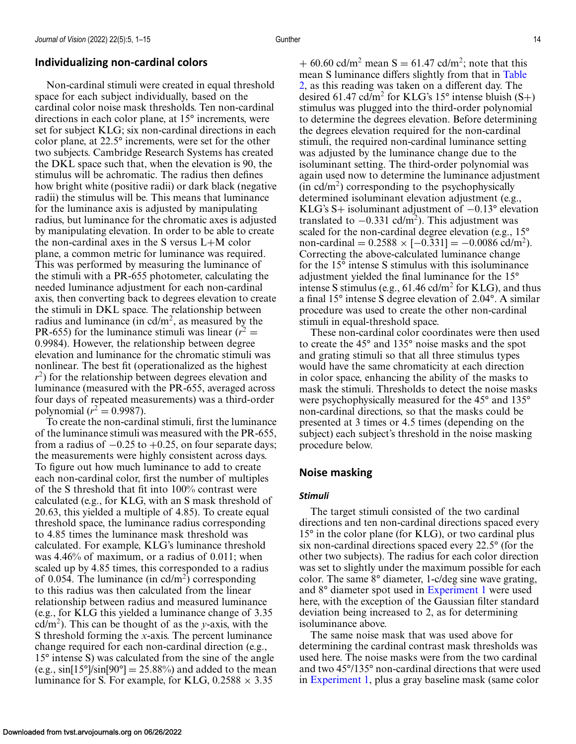# **Individualizing non-cardinal colors**

Non-cardinal stimuli were created in equal threshold space for each subject individually, based on the cardinal color noise mask thresholds. Ten non-cardinal directions in each color plane, at 15° increments, were set for subject KLG; six non-cardinal directions in each color plane, at 22.5° increments, were set for the other two subjects. Cambridge Research Systems has created the DKL space such that, when the elevation is 90, the stimulus will be achromatic. The radius then defines how bright white (positive radii) or dark black (negative radii) the stimulus will be. This means that luminance for the luminance axis is adjusted by manipulating radius, but luminance for the chromatic axes is adjusted by manipulating elevation. In order to be able to create the non-cardinal axes in the S versus L+M color plane, a common metric for luminance was required. This was performed by measuring the luminance of the stimuli with a PR-655 photometer, calculating the needed luminance adjustment for each non-cardinal axis, then converting back to degrees elevation to create the stimuli in DKL space. The relationship between radius and luminance (in  $\text{cd/m}^2$ , as measured by the PR-655) for the luminance stimuli was linear  $(r^2 =$ 0.9984). However, the relationship between degree elevation and luminance for the chromatic stimuli was nonlinear. The best fit (operationalized as the highest *r*<sup>2</sup>) for the relationship between degrees elevation and luminance (measured with the PR-655, averaged across four days of repeated measurements) was a third-order polynomial ( $r^2 = 0.9987$ ).

To create the non-cardinal stimuli, first the luminance of the luminance stimuli was measured with the PR-655, from a radius of  $-0.25$  to  $+0.25$ , on four separate days; the measurements were highly consistent across days. To figure out how much luminance to add to create each non-cardinal color, first the number of multiples of the S threshold that fit into 100% contrast were calculated (e.g., for KLG, with an S mask threshold of 20.63, this yielded a multiple of 4.85). To create equal threshold space, the luminance radius corresponding to 4.85 times the luminance mask threshold was calculated. For example, KLG's luminance threshold was 4.46% of maximum, or a radius of 0.011; when scaled up by 4.85 times, this corresponded to a radius of 0.054. The luminance (in  $\text{cd/m}^2$ ) corresponding to this radius was then calculated from the linear relationship between radius and measured luminance (e.g., for KLG this yielded a luminance change of 3.35 cd/m<sup>2</sup>). This can be thought of as the *y*-axis, with the S threshold forming the *x*-axis. The percent luminance change required for each non-cardinal direction (e.g., 15° intense S) was calculated from the sine of the angle (e.g.,  $\sin[15^\circ]\sin[90^\circ] = 25.88\%$ ) and added to the mean luminance for S. For example, for KLG,  $0.2588 \times 3.35$ 

+ 60.60 cd/m<sup>2</sup> mean S = 61.47 cd/m<sup>2</sup>; note that this mean S luminance differs slightly from that in Table [2, as this reading was taken on a different day. The](#page-12-0) desired 61.47 cd/m<sup>2</sup> for KLG's 15° intense bluish  $(S+)$ stimulus was plugged into the third-order polynomial to determine the degrees elevation. Before determining the degrees elevation required for the non-cardinal stimuli, the required non-cardinal luminance setting was adjusted by the luminance change due to the isoluminant setting. The third-order polynomial was again used now to determine the luminance adjustment  $(in \text{ }cd/m^2)$  corresponding to the psychophysically determined isoluminant elevation adjustment (e.g., KLG's S+ isoluminant adjustment of −0.13° elevation translated to  $-0.331$  cd/m<sup>2</sup>). This adjustment was scaled for the non-cardinal degree elevation (e.g., 15° non-cardinal =  $0.2588 \times [-0.331] = -0.0086$  cd/m<sup>2</sup>). Correcting the above-calculated luminance change for the 15° intense S stimulus with this isoluminance adjustment yielded the final luminance for the 15° intense S stimulus (e.g.,  $61.46$  cd/m<sup>2</sup> for KLG), and thus a final 15° intense S degree elevation of 2.04°. A similar procedure was used to create the other non-cardinal stimuli in equal-threshold space.

These non-cardinal color coordinates were then used to create the 45° and 135° noise masks and the spot and grating stimuli so that all three stimulus types would have the same chromaticity at each direction in color space, enhancing the ability of the masks to mask the stimuli. Thresholds to detect the noise masks were psychophysically measured for the 45° and 135° non-cardinal directions, so that the masks could be presented at 3 times or 4.5 times (depending on the subject) each subject's threshold in the noise masking procedure below.

## **Noise masking**

#### *Stimuli*

The target stimuli consisted of the two cardinal directions and ten non-cardinal directions spaced every 15° in the color plane (for KLG), or two cardinal plus six non-cardinal directions spaced every 22.5° (for the other two subjects). The radius for each color direction was set to slightly under the maximum possible for each color. The same 8° diameter, 1-c/deg sine wave grating, and 8° diameter spot used in [Experiment 1](#page-3-0) were used here, with the exception of the Gaussian filter standard deviation being increased to 2, as for determining isoluminance above.

The same noise mask that was used above for determining the cardinal contrast mask thresholds was used here. The noise masks were from the two cardinal and two 45°/135° non-cardinal directions that were used in [Experiment 1,](#page-3-0) plus a gray baseline mask (same color